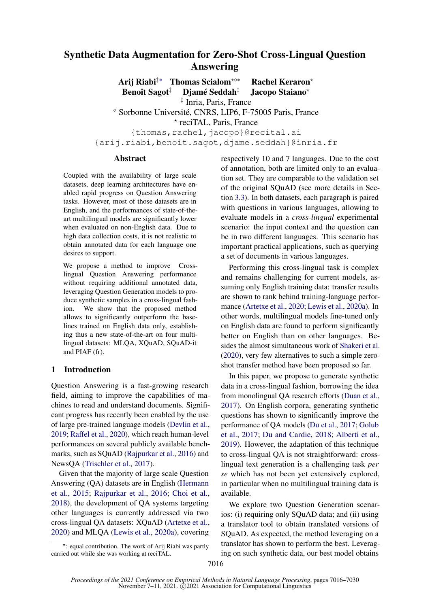# <span id="page-0-0"></span>Synthetic Data Augmentation for Zero-Shot Cross-Lingual Question Answering

Arij Riabi‡\* Thomas Scialom<sup>\*◇\*</sup> Rachel Keraron\* Benoît Sagot<sup>‡</sup> Djamé Seddah<sup>‡</sup> Jacopo Staiano<sup>\*</sup> ‡ Inria, Paris, France  $\degree$  Sorbonne Université, CNRS, LIP6, F-75005 Paris, France ? reciTAL, Paris, France {thomas, rachel, jacopo}@recital.ai {arij.riabi,benoit.sagot,djame.seddah}@inria.fr

### Abstract

Coupled with the availability of large scale datasets, deep learning architectures have enabled rapid progress on Question Answering tasks. However, most of those datasets are in English, and the performances of state-of-theart multilingual models are significantly lower when evaluated on non-English data. Due to high data collection costs, it is not realistic to obtain annotated data for each language one desires to support.

We propose a method to improve Crosslingual Question Answering performance without requiring additional annotated data, leveraging Question Generation models to produce synthetic samples in a cross-lingual fashion. We show that the proposed method allows to significantly outperform the baselines trained on English data only, establishing thus a new state-of-the-art on four multilingual datasets: MLQA, XQuAD, SQuAD-it and PIAF (fr).

## 1 Introduction

Question Answering is a fast-growing research field, aiming to improve the capabilities of machines to read and understand documents. Significant progress has recently been enabled by the use of large pre-trained language models [\(Devlin et al.,](#page-8-0) [2019;](#page-8-0) [Raffel et al.,](#page-10-0) [2020\)](#page-10-0), which reach human-level performances on several publicly available benchmarks, such as SQuAD [\(Rajpurkar et al.,](#page-10-1) [2016\)](#page-10-1) and NewsQA [\(Trischler et al.,](#page-10-2) [2017\)](#page-10-2).

Given that the majority of large scale Question Answering (QA) datasets are in English [\(Hermann](#page-9-0) [et al.,](#page-9-0) [2015;](#page-9-0) [Rajpurkar et al.,](#page-10-1) [2016;](#page-10-1) [Choi et al.,](#page-8-1) [2018\)](#page-8-1), the development of QA systems targeting other languages is currently addressed via two cross-lingual QA datasets: XQuAD [\(Artetxe et al.,](#page-8-2) [2020\)](#page-8-2) and MLQA [\(Lewis et al.,](#page-9-1) [2020a\)](#page-9-1), covering

respectively 10 and 7 languages. Due to the cost of annotation, both are limited only to an evaluation set. They are comparable to the validation set of the original SQuAD (see more details in Section [3.3\)](#page-2-0). In both datasets, each paragraph is paired with questions in various languages, allowing to evaluate models in a *cross-lingual* experimental scenario: the input context and the question can be in two different languages. This scenario has important practical applications, such as querying a set of documents in various languages.

Performing this cross-lingual task is complex and remains challenging for current models, assuming only English training data: transfer results are shown to rank behind training-language performance [\(Artetxe et al.,](#page-8-2) [2020;](#page-8-2) [Lewis et al.,](#page-9-1) [2020a\)](#page-9-1). In other words, multilingual models fine-tuned only on English data are found to perform significantly better on English than on other languages. Besides the almost simultaneous work of [Shakeri et al.](#page-10-3) [\(2020\)](#page-10-3), very few alternatives to such a simple zeroshot transfer method have been proposed so far.

In this paper, we propose to generate synthetic data in a cross-lingual fashion, borrowing the idea from monolingual QA research efforts [\(Duan et al.,](#page-8-3) [2017\)](#page-8-3). On English corpora, generating synthetic questions has shown to significantly improve the performance of QA models [\(Du et al.,](#page-8-4) [2017;](#page-8-4) [Golub](#page-9-2) [et al.,](#page-9-2) [2017;](#page-9-2) [Du and Cardie,](#page-8-5) [2018;](#page-8-5) [Alberti et al.,](#page-8-6) [2019\)](#page-8-6). However, the adaptation of this technique to cross-lingual QA is not straightforward: crosslingual text generation is a challenging task *per se* which has not been yet extensively explored, in particular when no multilingual training data is available.

We explore two Question Generation scenarios: (i) requiring only SQuAD data; and (ii) using a translator tool to obtain translated versions of SQuAD. As expected, the method leveraging on a translator has shown to perform the best. Leveraging on such synthetic data, our best model obtains

<sup>∗</sup> : equal contribution. The work of Arij Riabi was partly carried out while she was working at reciTAL.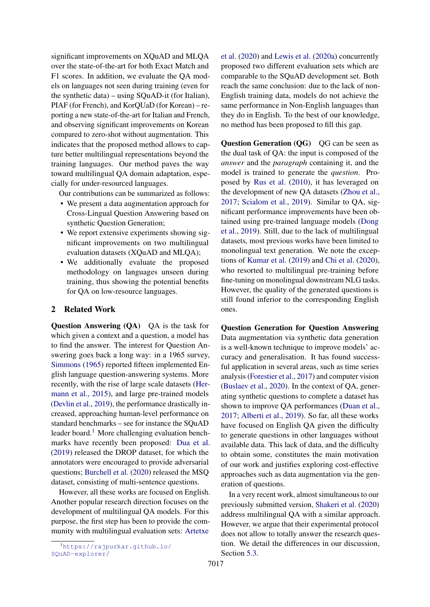significant improvements on XQuAD and MLQA over the state-of-the-art for both Exact Match and F1 scores. In addition, we evaluate the QA models on languages not seen during training (even for the synthetic data) – using SQuAD-it (for Italian), PIAF (for French), and KorQUaD (for Korean) – reporting a new state-of-the-art for Italian and French, and observing significant improvements on Korean compared to zero-shot without augmentation. This indicates that the proposed method allows to capture better multilingual representations beyond the training languages. Our method paves the way toward multilingual QA domain adaptation, especially for under-resourced languages.

Our contributions can be summarized as follows:

- We present a data augmentation approach for Cross-Lingual Question Answering based on synthetic Question Generation;
- We report extensive experiments showing significant improvements on two multilingual evaluation datasets (XQuAD and MLQA);
- We additionally evaluate the proposed methodology on languages unseen during training, thus showing the potential benefits for QA on low-resource languages.

## 2 Related Work

Question Answering (QA) QA is the task for which given a context and a question, a model has to find the answer. The interest for Question Answering goes back a long way: in a 1965 survey, [Simmons](#page-10-4) [\(1965\)](#page-10-4) reported fifteen implemented English language question-answering systems. More recently, with the rise of large scale datasets [\(Her](#page-9-0)[mann et al.,](#page-9-0) [2015\)](#page-9-0), and large pre-trained models [\(Devlin et al.,](#page-8-0) [2019\)](#page-8-0), the performance drastically increased, approaching human-level performance on standard benchmarks – see for instance the SQuAD leader board.<sup>[1](#page-1-0)</sup> More challenging evaluation benchmarks have recently been proposed: [Dua et al.](#page-8-7) [\(2019\)](#page-8-7) released the DROP dataset, for which the annotators were encouraged to provide adversarial questions; [Burchell et al.](#page-8-8) [\(2020\)](#page-8-8) released the MSQ dataset, consisting of multi-sentence questions.

However, all these works are focused on English. Another popular research direction focuses on the development of multilingual QA models. For this purpose, the first step has been to provide the community with multilingual evaluation sets: [Artetxe](#page-8-2)

[et al.](#page-8-2) [\(2020\)](#page-8-2) and [Lewis et al.](#page-9-1) [\(2020a\)](#page-9-1) concurrently proposed two different evaluation sets which are comparable to the SQuAD development set. Both reach the same conclusion: due to the lack of non-English training data, models do not achieve the same performance in Non-English languages than they do in English. To the best of our knowledge, no method has been proposed to fill this gap.

Question Generation (QG) QG can be seen as the dual task of QA: the input is composed of the *answer* and the *paragraph* containing it, and the model is trained to generate the *question*. Proposed by [Rus et al.](#page-10-5) [\(2010\)](#page-10-5), it has leveraged on the development of new QA datasets [\(Zhou et al.,](#page-10-6) [2017;](#page-10-6) [Scialom et al.,](#page-10-7) [2019\)](#page-10-7). Similar to QA, significant performance improvements have been obtained using pre-trained language models [\(Dong](#page-8-9) [et al.,](#page-8-9) [2019\)](#page-8-9). Still, due to the lack of multilingual datasets, most previous works have been limited to monolingual text generation. We note the exceptions of [Kumar et al.](#page-9-3) [\(2019\)](#page-9-3) and [Chi et al.](#page-8-10) [\(2020\)](#page-8-10), who resorted to multilingual pre-training before fine-tuning on monolingual downstream NLG tasks. However, the quality of the generated questions is still found inferior to the corresponding English ones.

Question Generation for Question Answering Data augmentation via synthetic data generation is a well-known technique to improve models' accuracy and generalisation. It has found successful application in several areas, such as time series analysis [\(Forestier et al.,](#page-9-4) [2017\)](#page-9-4) and computer vision [\(Buslaev et al.,](#page-8-11) [2020\)](#page-8-11). In the context of QA, generating synthetic questions to complete a dataset has shown to improve QA performances [\(Duan et al.,](#page-8-3) [2017;](#page-8-3) [Alberti et al.,](#page-8-6) [2019\)](#page-8-6). So far, all these works have focused on English QA given the difficulty to generate questions in other languages without available data. This lack of data, and the difficulty to obtain some, constitutes the main motivation of our work and justifies exploring cost-effective approaches such as data augmentation via the generation of questions.

In a very recent work, almost simultaneous to our previously submitted version, [Shakeri et al.](#page-10-3) [\(2020\)](#page-10-3) address multilingual QA with a similar approach. However, we argue that their experimental protocol does not allow to totally answer the research question. We detail the differences in our discussion, Section [5.3.](#page-5-0)

<span id="page-1-0"></span><sup>1</sup>[https://rajpurkar.github.io/](#page-8-2) [SQuAD-explorer/](#page-8-2)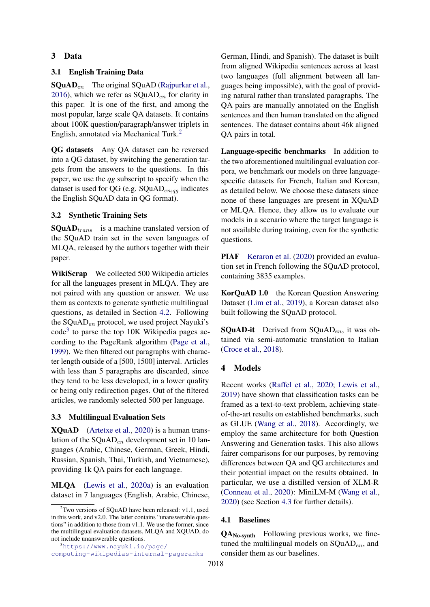## 3 Data

## 3.1 English Training Data

 $\textbf{SQuAD}_{en}$  The original SQuAD [\(Rajpurkar et al.,](#page-10-1) [2016\)](#page-10-1), which we refer as  $\text{SQuAD}_{en}$  for clarity in this paper. It is one of the first, and among the most popular, large scale QA datasets. It contains about 100K question/paragraph/answer triplets in English, annotated via Mechanical Turk.[2](#page-2-1)

QG datasets Any QA dataset can be reversed into a QG dataset, by switching the generation targets from the answers to the questions. In this paper, we use the *qg* subscript to specify when the dataset is used for QG (e.g.  $SQuAD_{en;qq}$  indicates the English SQuAD data in QG format).

### 3.2 Synthetic Training Sets

 $\text{SQuAD}_{trans}$  is a machine translated version of the SQuAD train set in the seven languages of MLQA, released by the authors together with their paper.

WikiScrap We collected 500 Wikipedia articles for all the languages present in MLQA. They are not paired with any question or answer. We use them as contexts to generate synthetic multilingual questions, as detailed in Section [4.2.](#page-3-0) Following the  $\text{SQuAD}_{en}$  protocol, we used project Nayuki's code<sup>[3](#page-2-2)</sup> to parse the top 10K Wikipedia pages according to the PageRank algorithm [\(Page et al.,](#page-10-8) [1999\)](#page-10-8). We then filtered out paragraphs with character length outside of a [500, 1500] interval. Articles with less than 5 paragraphs are discarded, since they tend to be less developed, in a lower quality or being only redirection pages. Out of the filtered articles, we randomly selected 500 per language.

## <span id="page-2-0"></span>3.3 Multilingual Evaluation Sets

XQuAD [\(Artetxe et al.,](#page-8-2) [2020\)](#page-8-2) is a human translation of the  $\text{SQuAD}_{en}$  development set in 10 languages (Arabic, Chinese, German, Greek, Hindi, Russian, Spanish, Thai, Turkish, and Vietnamese), providing 1k QA pairs for each language.

MLQA [\(Lewis et al.,](#page-9-1) [2020a\)](#page-9-1) is an evaluation dataset in 7 languages (English, Arabic, Chinese,

<span id="page-2-2"></span> ${}^{3}$ [https://www.nayuki.io/page/](https://www.nayuki.io/page/computing-wikipedias-internal-pageranks) [computing-wikipedias-internal-pageranks](https://www.nayuki.io/page/computing-wikipedias-internal-pageranks) German, Hindi, and Spanish). The dataset is built from aligned Wikipedia sentences across at least two languages (full alignment between all languages being impossible), with the goal of providing natural rather than translated paragraphs. The QA pairs are manually annotated on the English sentences and then human translated on the aligned sentences. The dataset contains about 46k aligned QA pairs in total.

Language-specific benchmarks In addition to the two aforementioned multilingual evaluation corpora, we benchmark our models on three languagespecific datasets for French, Italian and Korean, as detailed below. We choose these datasets since none of these languages are present in XQuAD or MLQA. Hence, they allow us to evaluate our models in a scenario where the target language is not available during training, even for the synthetic questions.

PIAF [Keraron et al.](#page-9-5) [\(2020\)](#page-9-5) provided an evaluation set in French following the SQuAD protocol, containing 3835 examples.

KorQuAD 1.0 the Korean Question Answering Dataset [\(Lim et al.,](#page-9-6) [2019\)](#page-9-6), a Korean dataset also built following the SQuAD protocol.

**SQuAD-it** Derived from  $SQLAD_{en}$ , it was obtained via semi-automatic translation to Italian [\(Croce et al.,](#page-8-12) [2018\)](#page-8-12).

## 4 Models

Recent works [\(Raffel et al.,](#page-10-0) [2020;](#page-10-0) [Lewis et al.,](#page-9-7) [2019\)](#page-9-7) have shown that classification tasks can be framed as a text-to-text problem, achieving stateof-the-art results on established benchmarks, such as GLUE [\(Wang et al.,](#page-10-9) [2018\)](#page-10-9). Accordingly, we employ the same architecture for both Question Answering and Generation tasks. This also allows fairer comparisons for our purposes, by removing differences between QA and QG architectures and their potential impact on the results obtained. In particular, we use a distilled version of XLM-R [\(Conneau et al.,](#page-8-13) [2020\)](#page-8-13): MiniLM-M [\(Wang et al.,](#page-10-10) [2020\)](#page-10-10) (see Section [4.3](#page-3-1) for further details).

### 4.1 Baselines

QANo-synth Following previous works, we finetuned the multilingual models on  $\text{SQuAD}_{en}$ , and consider them as our baselines.

<span id="page-2-1"></span> $2$ Two versions of SOuAD have been released: v1.1, used in this work, and v2.0. The latter contains "unanswerable questions" in addition to those from v1.1. We use the former, since the multilingual evaluation datasets, MLQA and XQUAD, do not include unanswerable questions.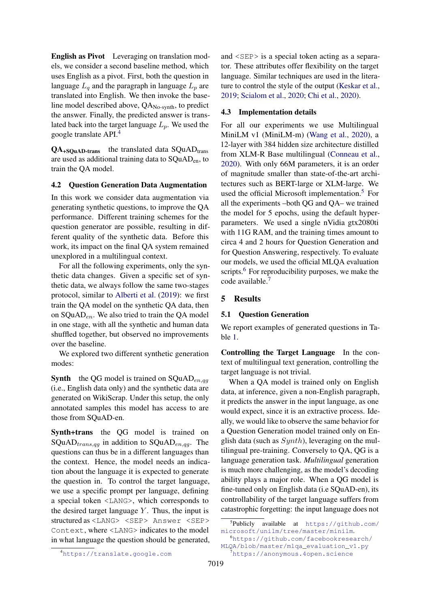English as Pivot Leveraging on translation models, we consider a second baseline method, which uses English as a pivot. First, both the question in language  $L_q$  and the paragraph in language  $L_p$  are translated into English. We then invoke the baseline model described above, QANo-synth, to predict the answer. Finally, the predicted answer is translated back into the target language  $L_p$ . We used the google translate API.[4](#page-3-2)

 $QA_{+SQuAD-trans}$  the translated data  $SQuAD_{trans}$ are used as additional training data to SQuADen, to train the QA model.

## <span id="page-3-0"></span>4.2 Question Generation Data Augmentation

In this work we consider data augmentation via generating synthetic questions, to improve the QA performance. Different training schemes for the question generator are possible, resulting in different quality of the synthetic data. Before this work, its impact on the final QA system remained unexplored in a multilingual context.

For all the following experiments, only the synthetic data changes. Given a specific set of synthetic data, we always follow the same two-stages protocol, similar to [Alberti et al.](#page-8-6) [\(2019\)](#page-8-6): we first train the QA model on the synthetic QA data, then on  $\text{SQuAD}_{en}$ . We also tried to train the QA model in one stage, with all the synthetic and human data shuffled together, but observed no improvements over the baseline.

We explored two different synthetic generation modes:

**Synth** the QG model is trained on  $\text{SQuAD}_{en,qq}$ (i.e., English data only) and the synthetic data are generated on WikiScrap. Under this setup, the only annotated samples this model has access to are those from SQuAD-en.

Synth+trans the QG model is trained on SQuAD $_{trans,qg}$  in addition to SQuAD $_{en,qg}$ . The questions can thus be in a different languages than the context. Hence, the model needs an indication about the language it is expected to generate the question in. To control the target language, we use a specific prompt per language, defining a special token <LANG>, which corresponds to the desired target language  $Y$ . Thus, the input is structured as <LANG> <SEP> Answer <SEP> Context, where <LANG> indicates to the model in what language the question should be generated, and <SEP> is a special token acting as a separator. These attributes offer flexibility on the target language. Similar techniques are used in the literature to control the style of the output [\(Keskar et al.,](#page-9-8) [2019;](#page-9-8) [Scialom et al.,](#page-10-11) [2020;](#page-10-11) [Chi et al.,](#page-8-10) [2020\)](#page-8-10).

### <span id="page-3-1"></span>4.3 Implementation details

For all our experiments we use Multilingual MiniLM v1 (MiniLM-m) [\(Wang et al.,](#page-10-10) [2020\)](#page-10-10), a 12-layer with 384 hidden size architecture distilled from XLM-R Base multilingual [\(Conneau et al.,](#page-8-13) [2020\)](#page-8-13). With only 66M parameters, it is an order of magnitude smaller than state-of-the-art architectures such as BERT-large or XLM-large. We used the official Microsoft implementation.<sup>[5](#page-3-3)</sup> For all the experiments –both QG and QA– we trained the model for 5 epochs, using the default hyperparameters. We used a single nVidia gtx2080ti with 11G RAM, and the training times amount to circa 4 and 2 hours for Question Generation and for Question Answering, respectively. To evaluate our models, we used the official MLQA evaluation scripts.<sup>[6](#page-3-4)</sup> For reproducibility purposes, we make the code available.[7](#page-3-5)

## 5 Results

### 5.1 Question Generation

We report examples of generated questions in Table [1.](#page-4-0)

Controlling the Target Language In the context of multilingual text generation, controlling the target language is not trivial.

When a QA model is trained only on English data, at inference, given a non-English paragraph, it predicts the answer in the input language, as one would expect, since it is an extractive process. Ideally, we would like to observe the same behavior for a Question Generation model trained only on English data (such as  $Synth$ ), leveraging on the multilingual pre-training. Conversely to QA, QG is a language generation task. *Multilingual* generation is much more challenging, as the model's decoding ability plays a major role. When a QG model is fine-tuned only on English data (i.e SQuAD-en), its controllability of the target language suffers from catastrophic forgetting: the input language does not

<span id="page-3-3"></span><sup>5</sup> Publicly available at [https://github.com/](https://github.com/microsoft/unilm/tree/master/minilm) [microsoft/unilm/tree/master/minilm](https://github.com/microsoft/unilm/tree/master/minilm).

<span id="page-3-4"></span><sup>6</sup>[https://github.com/facebookresearch/](https://github.com/facebookresearch/MLQA/blob/master/mlqa_evaluation_v1.py) [MLQA/blob/master/mlqa\\_evaluation\\_v1.py](https://github.com/facebookresearch/MLQA/blob/master/mlqa_evaluation_v1.py)

<span id="page-3-5"></span><sup>7</sup><https://anonymous.4open.science>

<span id="page-3-2"></span><sup>4</sup><https://translate.google.com>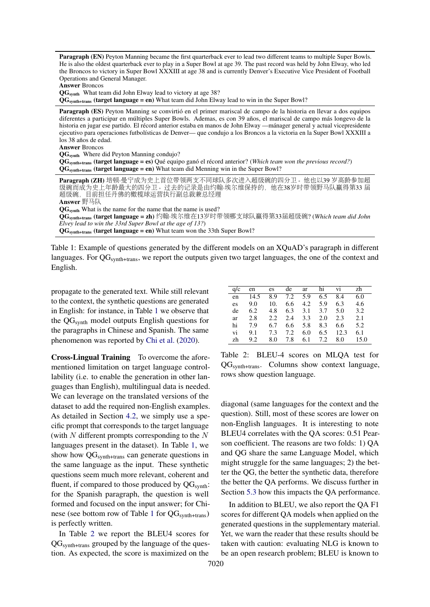<span id="page-4-0"></span>Paragraph (EN) Peyton Manning became the first quarterback ever to lead two different teams to multiple Super Bowls. He is also the oldest quarterback ever to play in a Super Bowl at age 39. The past record was held by John Elway, who led the Broncos to victory in Super Bowl XXXIII at age 38 and is currently Denver's Executive Vice President of Football Operations and General Manager.

Answer Broncos

QGsynth What team did John Elway lead to victory at age 38?

QGsynth+trans (target language = en) What team did John Elway lead to win in the Super Bowl?

Paragraph (ES) Peyton Manning se convirtió en el primer mariscal de campo de la historia en llevar a dos equipos diferentes a participar en múltiples Super Bowls. Ademas, es con 39 años, el mariscal de campo más longevo de la historia en jugar ese partido. El récord anterior estaba en manos de John Elway —mánager general y actual vicepresidente ejecutivo para operaciones futbolísticas de Denver— que condujo a los Broncos a la victoria en la Super Bowl XXXIII a los 38 años de edad.

Answer Broncos

QGsynth Where did Peyton Manning condujo?

QGsynth+trans (target language = es) Qué equipo ganó el récord anterior? (*Which team won the previous record?*) QGsynth+trans (target language = en) What team did Menning win in the Super Bowl?

| Paragraph (ZH)培顿·曼宁成为史上首位带领两支不同球队多次进入超级碗的四分卫。他也以39岁高龄参加超                                          |
|---------------------------------------------------------------------------------------------------|
| 级碗而成为史上年龄最大的四分卫。过去的记录是由约翰·埃尔维保持的, 他在38岁时带领野马队赢得第33届                                               |
| 超级碗,目前担任丹佛的橄榄球运营执行副总裁兼总经理。                                                                        |
| Answer 野马队                                                                                        |
| $QGsynth$ What is the name for the name that the name is used?                                    |
| QG <sub>synth+trans</sub> (target language = zh) 约翰·埃尔维在13岁时带领哪支球队赢得第33届超级碗? (Which team did John |
| Elvey lead to win the 33rd Super Bowl at the age of 13?)                                          |
| $QGsynth+trans$ (target language = en) What team won the 33th Super Bowl?                         |
|                                                                                                   |

Table 1: Example of questions generated by the different models on an XQuAD's paragraph in different languages. For QG<sub>synth+trans</sub>, we report the outputs given two target languages, the one of the context and English.

propagate to the generated text. While still relevant to the context, the synthetic questions are generated in English: for instance, in Table [1](#page-4-0) we observe that the QGsynth model outputs English questions for the paragraphs in Chinese and Spanish. The same phenomenon was reported by [Chi et al.](#page-8-10) [\(2020\)](#page-8-10).

Cross-Lingual Training To overcome the aforementioned limitation on target language controllability (i.e. to enable the generation in other languages than English), multilingual data is needed. We can leverage on the translated versions of the dataset to add the required non-English examples. As detailed in Section [4.2,](#page-3-0) we simply use a specific prompt that corresponds to the target language (with  $N$  different prompts corresponding to the  $N$ languages present in the dataset). In Table [1,](#page-4-0) we show how  $QG<sub>synth+trans</sub>$  can generate questions in the same language as the input. These synthetic questions seem much more relevant, coherent and fluent, if compared to those produced by  $QG<sub>synth</sub>$ : for the Spanish paragraph, the question is well formed and focused on the input answer; for Chi-nese (see bottom row of Table [1](#page-4-0) for  $QG<sub>synth+trans</sub>$ ) is perfectly written.

In Table [2](#page-4-1) we report the BLEU4 scores for QGsynth+trans grouped by the language of the question. As expected, the score is maximized on the

<span id="page-4-1"></span>

| q/c | en   | es. | de  | ar  | hi  | V1   | zh   |
|-----|------|-----|-----|-----|-----|------|------|
| en  | 14.5 | 8.9 | 7.2 | 5.9 | 6.5 | 8.4  | 6.0  |
| es  | 9.0  | 10. | 6.6 | 4.2 | 5.9 | 6.3  | 4.6  |
| de  | 6.2  | 4.8 | 6.3 | 3.1 | 3.7 | 5.0  | 3.2  |
| ar  | 2.8  | 2.2 | 2.4 | 3.3 | 2.0 | 2.3  | 2.1  |
| hi  | 7.9  | 6.7 | 6.6 | 5.8 | 8.3 | 6.6  | 5.2  |
| vi  | 9.1  | 7.3 | 7.2 | 6.0 | 6.5 | 12.3 | 6.1  |
| zh  | 9.2. | 8.0 | 7.8 | 6.1 | 7.2 | 8.0  | 15.0 |

Table 2: BLEU-4 scores on MLQA test for QGsynth+trans. Columns show context language, rows show question language.

diagonal (same languages for the context and the question). Still, most of these scores are lower on non-English languages. It is interesting to note BLEU4 correlates with the QA scores: 0.51 Pearson coefficient. The reasons are two folds: 1) QA and QG share the same Language Model, which might struggle for the same languages; 2) the better the QG, the better the synthetic data, therefore the better the QA performs. We discuss further in Section [5.3](#page-5-0) how this impacts the QA performance.

In addition to BLEU, we also report the QA F1 scores for different QA models when applied on the generated questions in the supplementary material. Yet, we warn the reader that these results should be taken with caution: evaluating NLG is known to be an open research problem; BLEU is known to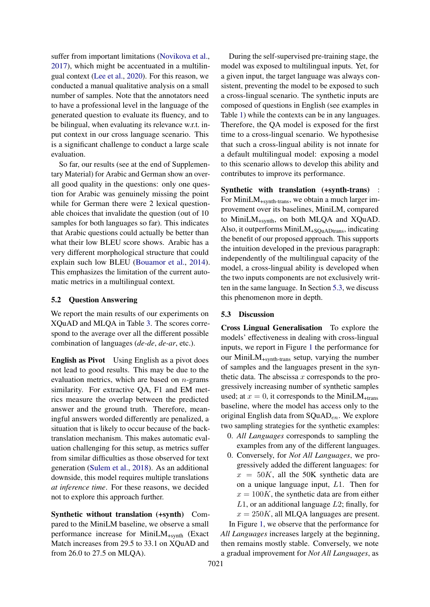suffer from important limitations [\(Novikova et al.,](#page-10-12) [2017\)](#page-10-12), which might be accentuated in a multilingual context [\(Lee et al.,](#page-9-9) [2020\)](#page-9-9). For this reason, we conducted a manual qualitative analysis on a small number of samples. Note that the annotators need to have a professional level in the language of the generated question to evaluate its fluency, and to be bilingual, when evaluating its relevance w.r.t. input context in our cross language scenario. This is a significant challenge to conduct a large scale evaluation.

So far, our results (see at the end of Supplementary Material) for Arabic and German show an overall good quality in the questions: only one question for Arabic was genuinely missing the point while for German there were 2 lexical questionable choices that invalidate the question (out of 10 samples for both languages so far). This indicates that Arabic questions could actually be better than what their low BLEU score shows. Arabic has a very different morphological structure that could explain such low BLEU [\(Bouamor et al.,](#page-8-14) [2014\)](#page-8-14). This emphasizes the limitation of the current automatic metrics in a multilingual context.

## 5.2 Question Answering

We report the main results of our experiments on XQuAD and MLQA in Table [3.](#page-6-0) The scores correspond to the average over all the different possible combination of languages (*de-de*, *de-ar*, etc.).

English as Pivot Using English as a pivot does not lead to good results. This may be due to the evaluation metrics, which are based on  $n$ -grams similarity. For extractive QA, F1 and EM metrics measure the overlap between the predicted answer and the ground truth. Therefore, meaningful answers worded differently are penalized, a situation that is likely to occur because of the backtranslation mechanism. This makes automatic evaluation challenging for this setup, as metrics suffer from similar difficulties as those observed for text generation [\(Sulem et al.,](#page-10-13) [2018\)](#page-10-13). As an additional downside, this model requires multiple translations *at inference time*. For these reasons, we decided not to explore this approach further.

Synthetic without translation (+synth) Compared to the MiniLM baseline, we observe a small performance increase for MiniLM+synth (Exact Match increases from 29.5 to 33.1 on XQuAD and from 26.0 to 27.5 on MLQA).

During the self-supervised pre-training stage, the model was exposed to multilingual inputs. Yet, for a given input, the target language was always consistent, preventing the model to be exposed to such a cross-lingual scenario. The synthetic inputs are composed of questions in English (see examples in Table [1\)](#page-4-0) while the contexts can be in any languages. Therefore, the QA model is exposed for the first time to a cross-lingual scenario. We hypothesise that such a cross-lingual ability is not innate for a default multilingual model: exposing a model to this scenario allows to develop this ability and contributes to improve its performance.

Synthetic with translation (+synth-trans) : For Mini $LM_{+synth-trans}$ , we obtain a much larger improvement over its baselines, MiniLM, compared to MiniLM+synth, on both MLQA and XQuAD. Also, it outperforms MiniLM+SQuADtrans, indicating the benefit of our proposed approach. This supports the intuition developed in the previous paragraph: independently of the multilingual capacity of the model, a cross-lingual ability is developed when the two inputs components are not exclusively written in the same language. In Section [5.3,](#page-5-0) we discuss this phenomenon more in depth.

## <span id="page-5-0"></span>5.3 Discussion

Cross Lingual Generalisation To explore the models' effectiveness in dealing with cross-lingual inputs, we report in Figure [1](#page-7-0) the performance for our MiniLM+synth-trans setup, varying the number of samples and the languages present in the synthetic data. The abscissa  $x$  corresponds to the progressively increasing number of synthetic samples used; at  $x = 0$ , it corresponds to the MiniLM<sub>+trans</sub> baseline, where the model has access only to the original English data from  $\text{SQuAD}_{en}$ . We explore two sampling strategies for the synthetic examples:

- 0. *All Languages* corresponds to sampling the examples from any of the different languages.
- 0. Conversely, for *Not All Languages*, we progressively added the different languages: for  $x = 50K$ , all the 50K synthetic data are on a unique language input, L1. Then for  $x = 100K$ , the synthetic data are from either  $L1$ , or an additional language  $L2$ ; finally, for  $x = 250K$ , all MLQA languages are present.

In Figure [1,](#page-7-0) we observe that the performance for *All Languages* increases largely at the beginning, then remains mostly stable. Conversely, we note a gradual improvement for *Not All Languages*, as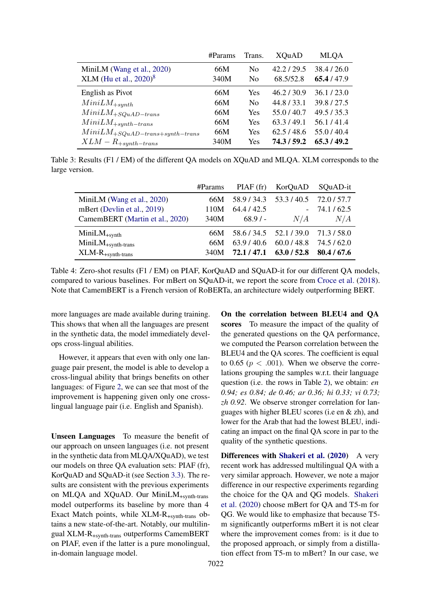<span id="page-6-0"></span>

|                                                   | $\#$ Params | Trans.         | <b>XQuAD</b> | <b>MLQA</b> |
|---------------------------------------------------|-------------|----------------|--------------|-------------|
| MiniLM (Wang et al., 2020)                        | 66M         | N <sub>0</sub> | 42.2 / 29.5  | 38.4 / 26.0 |
| XLM (Hu et al., $2020)^8$                         | 340M        | N <sub>0</sub> | 68.5/52.8    | 65.4/47.9   |
| English as Pivot                                  | 66M         | Yes            | 46.2 / 30.9  | 36.1 / 23.0 |
| $MiniLM_{+synth}$                                 | 66M         | N <sub>0</sub> | 44.8 / 33.1  | 39.8/27.5   |
| $MiniLM_{+SQuAD-trans}$                           | 66M         | Yes            | 55.0/40.7    | 49.5 / 35.3 |
| $MiniLM_{+synth-trans}$                           | 66M         | Yes            | 63.3/49.1    | 56.1/41.4   |
| $\label{eq:1} Mini LM_{+SQuAD-trans+synth-trans}$ | 66M         | Yes            | 62.5/48.6    | 55.0/40.4   |
| $XLM - R_{+synth-trans}$                          | 340M        | Yes            | 74.3 / 59.2  | 65.3/49.2   |

Table 3: Results (F1 / EM) of the different QA models on XQuAD and MLQA. XLM corresponds to the large version.

|                                 | #Params |                         | PIAF (fr) KorQuAD                   | SQuAD-it    |
|---------------------------------|---------|-------------------------|-------------------------------------|-------------|
| MiniLM (Wang et al., 2020)      | 66M     |                         | 58.9 / 34.3 53.3 / 40.5 72.0 / 57.7 |             |
| mBert (Devlin et al., 2019)     | 110M    | 64.4 / 42.5             |                                     | 74.1/62.5   |
| CamemBERT (Martin et al., 2020) | 340M    | $68.9/-$                | N/A                                 | N/A         |
| $MiniLM_{+synth}$               | 66M     | 58.6 / 34.5 52.1 / 39.0 |                                     | 71.3/58.0   |
| $MiniLM_{+synth-trans}$         | 66M     | 63.9/40.6               | 60.0148.8                           | 74.5 / 62.0 |
| $XLM-R$ <sub>+synth-trans</sub> | 340M    | 72.1 / 47.1             | 63.0 / 52.8                         | 80.4/67.6   |

Table 4: Zero-shot results (F1 / EM) on PIAF, KorQuAD and SQuAD-it for our different QA models, compared to various baselines. For mBert on SQuAD-it, we report the score from [Croce et al.](#page-8-12) [\(2018\)](#page-8-12). Note that CamemBERT is a French version of RoBERTa, an architecture widely outperforming BERT.

more languages are made available during training. This shows that when all the languages are present in the synthetic data, the model immediately develops cross-lingual abilities.

However, it appears that even with only one language pair present, the model is able to develop a cross-lingual ability that brings benefits on other languages: of Figure [2,](#page-7-1) we can see that most of the improvement is happening given only one crosslingual language pair (i.e. English and Spanish).

Unseen Languages To measure the benefit of our approach on unseen languages (i.e. not present in the synthetic data from MLQA/XQuAD), we test our models on three QA evaluation sets: PIAF (fr), KorQuAD and SQuAD-it (see Section [3.3\)](#page-2-0). The results are consistent with the previous experiments on MLQA and XQuAD. Our MiniLM+synth-trans model outperforms its baseline by more than 4 Exact Match points, while XLM-R+synth-trans obtains a new state-of-the-art. Notably, our multilingual XLM-R+synth-trans outperforms CamemBERT on PIAF, even if the latter is a pure monolingual, in-domain language model.

On the correlation between BLEU4 and QA scores To measure the impact of the quality of the generated questions on the QA performance, we computed the Pearson correlation between the BLEU4 and the QA scores. The coefficient is equal to 0.65 ( $p < .001$ ). When we observe the correlations grouping the samples w.r.t. their language question (i.e. the rows in Table [2\)](#page-4-1), we obtain: *en 0.94; es 0.84; de 0.46; ar 0.36; hi 0.33; vi 0.73; zh 0.92*. We observe stronger correlation for languages with higher BLEU scores (i.e en & zh), and lower for the Arab that had the lowest BLEU, indicating an impact on the final QA score in par to the quality of the synthetic questions.

Differences with [Shakeri et al.](#page-10-3) [\(2020\)](#page-10-3) A very recent work has addressed multilingual QA with a very similar approach. However, we note a major difference in our respective experiments regarding the choice for the QA and QG models. [Shakeri](#page-10-3) [et al.](#page-10-3) [\(2020\)](#page-10-3) choose mBert for QA and T5-m for QG. We would like to emphasize that because T5 m significantly outperforms mBert it is not clear where the improvement comes from: is it due to the proposed approach, or simply from a distillation effect from T5-m to mBert? In our case, we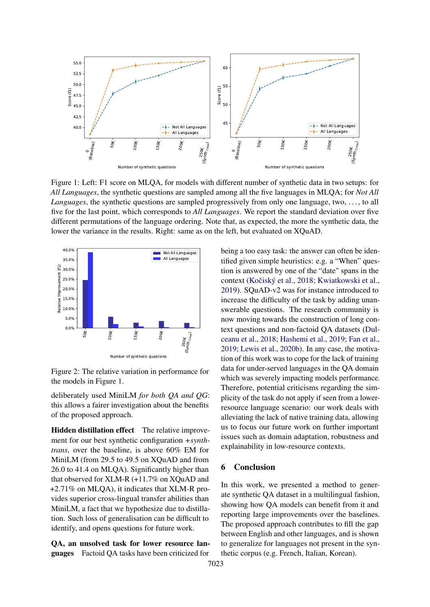<span id="page-7-0"></span>

<span id="page-7-1"></span>Figure 1: Left: F1 score on MLQA, for models with different number of synthetic data in two setups: for *All Languages*, the synthetic questions are sampled among all the five languages in MLQA; for *Not All Languages*, the synthetic questions are sampled progressively from only one language, two, . . . , to all five for the last point, which corresponds to *All Languages*. We report the standard deviation over five different permutations of the language ordering. Note that, as expected, the more the synthetic data, the lower the variance in the results. Right: same as on the left, but evaluated on XQuAD.



Figure 2: The relative variation in performance for the models in Figure [1.](#page-7-0)

deliberately used MiniLM *for both QA and QG*: this allows a fairer investigation about the benefits of the proposed approach.

Hidden distillation effect The relative improvement for our best synthetic configuration *+synthtrans*, over the baseline, is above 60% EM for MiniLM (from 29.5 to 49.5 on XQuAD and from 26.0 to 41.4 on MLQA). Significantly higher than that observed for XLM-R (+11.7% on XQuAD and +2.71% on MLQA), it indicates that XLM-R provides superior cross-lingual transfer abilities than MiniLM, a fact that we hypothesize due to distillation. Such loss of generalisation can be difficult to identify, and opens questions for future work.

QA, an unsolved task for lower resource languages Factoid QA tasks have been criticized for

being a too easy task: the answer can often be identified given simple heuristics: e.g. a "When" question is answered by one of the "date" spans in the context (Kočiský et al., [2018;](#page-9-12) [Kwiatkowski et al.,](#page-9-13) [2019\)](#page-9-13). SQuAD-v2 was for instance introduced to increase the difficulty of the task by adding unanswerable questions. The research community is now moving towards the construction of long context questions and non-factoid QA datasets [\(Dul](#page-9-14)[ceanu et al.,](#page-9-14) [2018;](#page-9-14) [Hashemi et al.,](#page-9-15) [2019;](#page-9-15) [Fan et al.,](#page-9-16) [2019;](#page-9-16) [Lewis et al.,](#page-9-17) [2020b\)](#page-9-17). In any case, the motivation of this work was to cope for the lack of training data for under-served languages in the QA domain which was severely impacting models performance. Therefore, potential criticisms regarding the simplicity of the task do not apply if seen from a lowerresource language scenario: our work deals with alleviating the lack of native training data, allowing us to focus our future work on further important issues such as domain adaptation, robustness and explainability in low-resource contexts.

## 6 Conclusion

In this work, we presented a method to generate synthetic QA dataset in a multilingual fashion, showing how QA models can benefit from it and reporting large improvements over the baselines. The proposed approach contributes to fill the gap between English and other languages, and is shown to generalize for languages not present in the synthetic corpus (e.g. French, Italian, Korean).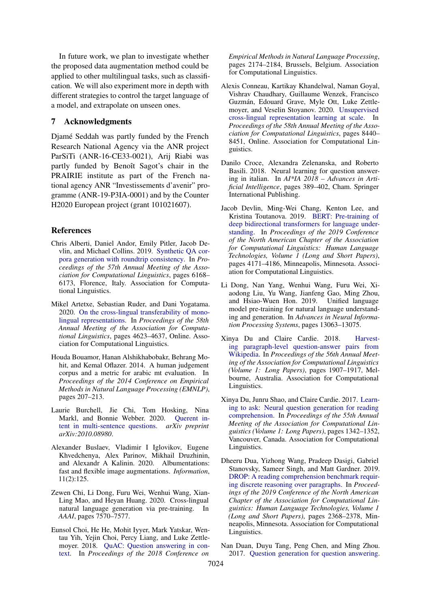In future work, we plan to investigate whether the proposed data augmentation method could be applied to other multilingual tasks, such as classification. We will also experiment more in depth with different strategies to control the target language of a model, and extrapolate on unseen ones.

## 7 Acknowledgments

Djamé Seddah was partly funded by the French Research National Agency via the ANR project ParSiTi (ANR-16-CE33-0021), Arij Riabi was partly funded by Benoît Sagot's chair in the PRAIRIE institute as part of the French national agency ANR "Investissements d'avenir" programme (ANR-19-P3IA-0001) and by the Counter H2020 European project (grant 101021607).

## References

- <span id="page-8-6"></span>Chris Alberti, Daniel Andor, Emily Pitler, Jacob Devlin, and Michael Collins. 2019. [Synthetic QA cor](https://doi.org/10.18653/v1/P19-1620)[pora generation with roundtrip consistency.](https://doi.org/10.18653/v1/P19-1620) In *Proceedings of the 57th Annual Meeting of the Association for Computational Linguistics*, pages 6168– 6173, Florence, Italy. Association for Computational Linguistics.
- <span id="page-8-2"></span>Mikel Artetxe, Sebastian Ruder, and Dani Yogatama. 2020. [On the cross-lingual transferability of mono](https://doi.org/10.18653/v1/2020.acl-main.421)[lingual representations.](https://doi.org/10.18653/v1/2020.acl-main.421) In *Proceedings of the 58th Annual Meeting of the Association for Computational Linguistics*, pages 4623–4637, Online. Association for Computational Linguistics.
- <span id="page-8-14"></span>Houda Bouamor, Hanan Alshikhabobakr, Behrang Mohit, and Kemal Oflazer. 2014. A human judgement corpus and a metric for arabic mt evaluation. In *Proceedings of the 2014 Conference on Empirical Methods in Natural Language Processing (EMNLP)*, pages 207–213.
- <span id="page-8-8"></span>Laurie Burchell, Jie Chi, Tom Hosking, Nina Markl, and Bonnie Webber. 2020. [Querent in](https://arxiv.org/abs/2010.08980)[tent in multi-sentence questions.](https://arxiv.org/abs/2010.08980) *arXiv preprint arXiv:2010.08980*.
- <span id="page-8-11"></span>Alexander Buslaev, Vladimir I Iglovikov, Eugene Khvedchenya, Alex Parinov, Mikhail Druzhinin, and Alexandr A Kalinin. 2020. Albumentations: fast and flexible image augmentations. *Information*, 11(2):125.
- <span id="page-8-10"></span>Zewen Chi, Li Dong, Furu Wei, Wenhui Wang, Xian-Ling Mao, and Heyan Huang. 2020. Cross-lingual natural language generation via pre-training. In *AAAI*, pages 7570–7577.
- <span id="page-8-1"></span>Eunsol Choi, He He, Mohit Iyyer, Mark Yatskar, Wentau Yih, Yejin Choi, Percy Liang, and Luke Zettlemoyer. 2018. [QuAC: Question answering in con](https://doi.org/10.18653/v1/D18-1241)[text.](https://doi.org/10.18653/v1/D18-1241) In *Proceedings of the 2018 Conference on*

*Empirical Methods in Natural Language Processing*, pages 2174–2184, Brussels, Belgium. Association for Computational Linguistics.

- <span id="page-8-13"></span>Alexis Conneau, Kartikay Khandelwal, Naman Goyal, Vishrav Chaudhary, Guillaume Wenzek, Francisco Guzmán, Edouard Grave, Myle Ott, Luke Zettlemoyer, and Veselin Stoyanov. 2020. [Unsupervised](https://doi.org/10.18653/v1/2020.acl-main.747) [cross-lingual representation learning at scale.](https://doi.org/10.18653/v1/2020.acl-main.747) In *Proceedings of the 58th Annual Meeting of the Association for Computational Linguistics*, pages 8440– 8451, Online. Association for Computational Linguistics.
- <span id="page-8-12"></span>Danilo Croce, Alexandra Zelenanska, and Roberto Basili. 2018. Neural learning for question answering in italian. In *AI\*IA 2018 – Advances in Artificial Intelligence*, pages 389–402, Cham. Springer International Publishing.
- <span id="page-8-0"></span>Jacob Devlin, Ming-Wei Chang, Kenton Lee, and Kristina Toutanova. 2019. [BERT: Pre-training of](https://doi.org/10.18653/v1/N19-1423) [deep bidirectional transformers for language under](https://doi.org/10.18653/v1/N19-1423)[standing.](https://doi.org/10.18653/v1/N19-1423) In *Proceedings of the 2019 Conference of the North American Chapter of the Association for Computational Linguistics: Human Language Technologies, Volume 1 (Long and Short Papers)*, pages 4171–4186, Minneapolis, Minnesota. Association for Computational Linguistics.
- <span id="page-8-9"></span>Li Dong, Nan Yang, Wenhui Wang, Furu Wei, Xiaodong Liu, Yu Wang, Jianfeng Gao, Ming Zhou, and Hsiao-Wuen Hon. 2019. Unified language model pre-training for natural language understanding and generation. In *Advances in Neural Information Processing Systems*, pages 13063–13075.
- <span id="page-8-5"></span>Xinya Du and Claire Cardie. 2018. [Harvest](https://doi.org/10.18653/v1/P18-1177)[ing paragraph-level question-answer pairs from](https://doi.org/10.18653/v1/P18-1177) [Wikipedia.](https://doi.org/10.18653/v1/P18-1177) In *Proceedings of the 56th Annual Meeting of the Association for Computational Linguistics (Volume 1: Long Papers)*, pages 1907–1917, Melbourne, Australia. Association for Computational Linguistics.
- <span id="page-8-4"></span>Xinya Du, Junru Shao, and Claire Cardie. 2017. [Learn](https://doi.org/10.18653/v1/P17-1123)[ing to ask: Neural question generation for reading](https://doi.org/10.18653/v1/P17-1123) [comprehension.](https://doi.org/10.18653/v1/P17-1123) In *Proceedings of the 55th Annual Meeting of the Association for Computational Linguistics (Volume 1: Long Papers)*, pages 1342–1352, Vancouver, Canada. Association for Computational Linguistics.
- <span id="page-8-7"></span>Dheeru Dua, Yizhong Wang, Pradeep Dasigi, Gabriel Stanovsky, Sameer Singh, and Matt Gardner. 2019. [DROP: A reading comprehension benchmark requir](https://doi.org/10.18653/v1/N19-1246)[ing discrete reasoning over paragraphs.](https://doi.org/10.18653/v1/N19-1246) In *Proceedings of the 2019 Conference of the North American Chapter of the Association for Computational Linguistics: Human Language Technologies, Volume 1 (Long and Short Papers)*, pages 2368–2378, Minneapolis, Minnesota. Association for Computational Linguistics.
- <span id="page-8-3"></span>Nan Duan, Duyu Tang, Peng Chen, and Ming Zhou. 2017. [Question generation for question answering.](https://doi.org/10.18653/v1/D17-1090)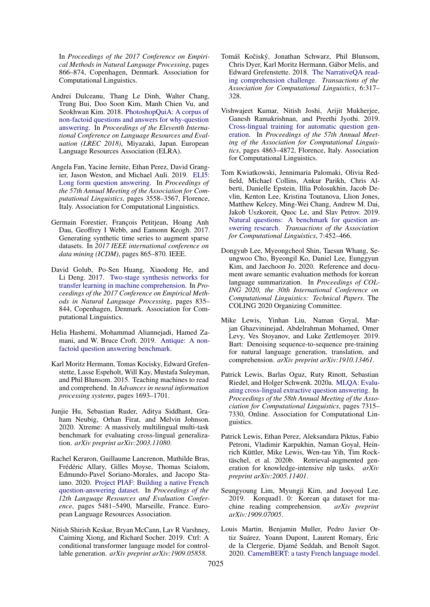In *Proceedings of the 2017 Conference on Empirical Methods in Natural Language Processing*, pages 866–874, Copenhagen, Denmark. Association for Computational Linguistics.

- <span id="page-9-14"></span>Andrei Dulceanu, Thang Le Dinh, Walter Chang, Trung Bui, Doo Soon Kim, Manh Chien Vu, and Seokhwan Kim. 2018. [PhotoshopQuiA: A corpus of](https://www.aclweb.org/anthology/L18-1438) [non-factoid questions and answers for why-question](https://www.aclweb.org/anthology/L18-1438) [answering.](https://www.aclweb.org/anthology/L18-1438) In *Proceedings of the Eleventh International Conference on Language Resources and Evaluation (LREC 2018)*, Miyazaki, Japan. European Language Resources Association (ELRA).
- <span id="page-9-16"></span>Angela Fan, Yacine Jernite, Ethan Perez, David Grangier, Jason Weston, and Michael Auli. 2019. [ELI5:](https://doi.org/10.18653/v1/P19-1346) [Long form question answering.](https://doi.org/10.18653/v1/P19-1346) In *Proceedings of the 57th Annual Meeting of the Association for Computational Linguistics*, pages 3558–3567, Florence, Italy. Association for Computational Linguistics.
- <span id="page-9-4"></span>Germain Forestier, François Petitjean, Hoang Anh Dau, Geoffrey I Webb, and Eamonn Keogh. 2017. Generating synthetic time series to augment sparse datasets. In *2017 IEEE international conference on data mining (ICDM)*, pages 865–870. IEEE.
- <span id="page-9-2"></span>David Golub, Po-Sen Huang, Xiaodong He, and Li Deng. 2017. [Two-stage synthesis networks for](https://doi.org/10.18653/v1/D17-1087) [transfer learning in machine comprehension.](https://doi.org/10.18653/v1/D17-1087) In *Proceedings of the 2017 Conference on Empirical Methods in Natural Language Processing*, pages 835– 844, Copenhagen, Denmark. Association for Computational Linguistics.
- <span id="page-9-15"></span>Helia Hashemi, Mohammad Aliannejadi, Hamed Zamani, and W. Bruce Croft. 2019. [Antique: A non](http://arxiv.org/abs/arXiv:1905.08957)[factoid question answering benchmark.](http://arxiv.org/abs/arXiv:1905.08957)
- <span id="page-9-0"></span>Karl Moritz Hermann, Tomas Kocisky, Edward Grefenstette, Lasse Espeholt, Will Kay, Mustafa Suleyman, and Phil Blunsom. 2015. Teaching machines to read and comprehend. In *Advances in neural information processing systems*, pages 1693–1701.
- <span id="page-9-10"></span>Junjie Hu, Sebastian Ruder, Aditya Siddhant, Graham Neubig, Orhan Firat, and Melvin Johnson. 2020. Xtreme: A massively multilingual multi-task benchmark for evaluating cross-lingual generalization. *arXiv preprint arXiv:2003.11080*.
- <span id="page-9-5"></span>Rachel Keraron, Guillaume Lancrenon, Mathilde Bras, Frédéric Allary, Gilles Moyse, Thomas Scialom, Edmundo-Pavel Soriano-Morales, and Jacopo Staiano. 2020. [Project PIAF: Building a native French](https://www.aclweb.org/anthology/2020.lrec-1.673) [question-answering dataset.](https://www.aclweb.org/anthology/2020.lrec-1.673) In *Proceedings of the 12th Language Resources and Evaluation Conference*, pages 5481–5490, Marseille, France. European Language Resources Association.
- <span id="page-9-8"></span>Nitish Shirish Keskar, Bryan McCann, Lav R Varshney, Caiming Xiong, and Richard Socher. 2019. Ctrl: A conditional transformer language model for controllable generation. *arXiv preprint arXiv:1909.05858*.
- <span id="page-9-12"></span>Tomáš Kočiský, Jonathan Schwarz, Phil Blunsom, Chris Dyer, Karl Moritz Hermann, Gábor Melis, and Edward Grefenstette. 2018. [The NarrativeQA read](https://doi.org/10.1162/tacl_a_00023)[ing comprehension challenge.](https://doi.org/10.1162/tacl_a_00023) *Transactions of the Association for Computational Linguistics*, 6:317– 328.
- <span id="page-9-3"></span>Vishwajeet Kumar, Nitish Joshi, Arijit Mukherjee, Ganesh Ramakrishnan, and Preethi Jyothi. 2019. [Cross-lingual training for automatic question gen](https://doi.org/10.18653/v1/P19-1481)[eration.](https://doi.org/10.18653/v1/P19-1481) In *Proceedings of the 57th Annual Meeting of the Association for Computational Linguistics*, pages 4863–4872, Florence, Italy. Association for Computational Linguistics.
- <span id="page-9-13"></span>Tom Kwiatkowski, Jennimaria Palomaki, Olivia Redfield, Michael Collins, Ankur Parikh, Chris Alberti, Danielle Epstein, Illia Polosukhin, Jacob Devlin, Kenton Lee, Kristina Toutanova, Llion Jones, Matthew Kelcey, Ming-Wei Chang, Andrew M. Dai, Jakob Uszkoreit, Quoc Le, and Slav Petrov. 2019. [Natural questions: A benchmark for question an](https://doi.org/10.1162/tacl_a_00276)[swering research.](https://doi.org/10.1162/tacl_a_00276) *Transactions of the Association for Computational Linguistics*, 7:452–466.
- <span id="page-9-9"></span>Dongyub Lee, Myeongcheol Shin, Taesun Whang, Seungwoo Cho, Byeongil Ko, Daniel Lee, Eunggyun Kim, and Jaechoon Jo. 2020. Reference and document aware semantic evaluation methods for korean language summarization. In *Proceedings of COL-ING 2020, the 30th International Conference on Computational Linguistics: Technical Papers*. The COLING 2020 Organizing Committee.
- <span id="page-9-7"></span>Mike Lewis, Yinhan Liu, Naman Goyal, Marjan Ghazvininejad, Abdelrahman Mohamed, Omer Levy, Ves Stoyanov, and Luke Zettlemoyer. 2019. Bart: Denoising sequence-to-sequence pre-training for natural language generation, translation, and comprehension. *arXiv preprint arXiv:1910.13461*.
- <span id="page-9-1"></span>Patrick Lewis, Barlas Oguz, Ruty Rinott, Sebastian Riedel, and Holger Schwenk. 2020a. [MLQA: Evalu](https://doi.org/10.18653/v1/2020.acl-main.653)[ating cross-lingual extractive question answering.](https://doi.org/10.18653/v1/2020.acl-main.653) In *Proceedings of the 58th Annual Meeting of the Association for Computational Linguistics*, pages 7315– 7330, Online. Association for Computational Linguistics.
- <span id="page-9-17"></span>Patrick Lewis, Ethan Perez, Aleksandara Piktus, Fabio Petroni, Vladimir Karpukhin, Naman Goyal, Heinrich Küttler, Mike Lewis, Wen-tau Yih, Tim Rocktäschel, et al. 2020b. Retrieval-augmented generation for knowledge-intensive nlp tasks. *arXiv preprint arXiv:2005.11401*.
- <span id="page-9-6"></span>Seungyoung Lim, Myungji Kim, and Jooyoul Lee. 2019. Korquad1. 0: Korean qa dataset for machine reading comprehension.  $arXiv$  preprint chine reading comprehension. *arXiv:1909.07005*.
- <span id="page-9-11"></span>Louis Martin, Benjamin Muller, Pedro Javier Ortiz Suárez, Yoann Dupont, Laurent Romary, Éric de la Clergerie, Djamé Seddah, and Benoît Sagot. 2020. [CamemBERT: a tasty French language model.](https://doi.org/10.18653/v1/2020.acl-main.645)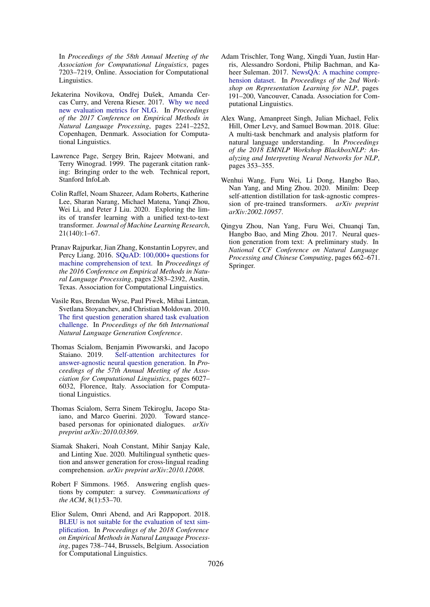In *Proceedings of the 58th Annual Meeting of the Association for Computational Linguistics*, pages 7203–7219, Online. Association for Computational Linguistics.

- <span id="page-10-12"></span>Jekaterina Novikova, Ondřej Dušek, Amanda Cercas Curry, and Verena Rieser. 2017. [Why we need](https://doi.org/10.18653/v1/D17-1238) [new evaluation metrics for NLG.](https://doi.org/10.18653/v1/D17-1238) In *Proceedings of the 2017 Conference on Empirical Methods in Natural Language Processing*, pages 2241–2252, Copenhagen, Denmark. Association for Computational Linguistics.
- <span id="page-10-8"></span>Lawrence Page, Sergey Brin, Rajeev Motwani, and Terry Winograd. 1999. The pagerank citation ranking: Bringing order to the web. Technical report, Stanford InfoLab.
- <span id="page-10-0"></span>Colin Raffel, Noam Shazeer, Adam Roberts, Katherine Lee, Sharan Narang, Michael Matena, Yanqi Zhou, Wei Li, and Peter J Liu. 2020. Exploring the limits of transfer learning with a unified text-to-text transformer. *Journal of Machine Learning Research*, 21(140):1–67.
- <span id="page-10-1"></span>Pranav Rajpurkar, Jian Zhang, Konstantin Lopyrev, and Percy Liang. 2016. [SQuAD: 100,000+ questions for](https://doi.org/10.18653/v1/D16-1264) [machine comprehension of text.](https://doi.org/10.18653/v1/D16-1264) In *Proceedings of the 2016 Conference on Empirical Methods in Natural Language Processing*, pages 2383–2392, Austin, Texas. Association for Computational Linguistics.
- <span id="page-10-5"></span>Vasile Rus, Brendan Wyse, Paul Piwek, Mihai Lintean, Svetlana Stoyanchev, and Christian Moldovan. 2010. [The first question generation shared task evaluation](https://www.aclweb.org/anthology/W10-4234) [challenge.](https://www.aclweb.org/anthology/W10-4234) In *Proceedings of the 6th International Natural Language Generation Conference*.
- <span id="page-10-7"></span>Thomas Scialom, Benjamin Piwowarski, and Jacopo Staiano. 2019. [Self-attention architectures for](https://doi.org/10.18653/v1/P19-1604) [answer-agnostic neural question generation.](https://doi.org/10.18653/v1/P19-1604) In *Proceedings of the 57th Annual Meeting of the Association for Computational Linguistics*, pages 6027– 6032, Florence, Italy. Association for Computational Linguistics.
- <span id="page-10-11"></span>Thomas Scialom, Serra Sinem Tekiroglu, Jacopo Staiano, and Marco Guerini. 2020. Toward stancebased personas for opinionated dialogues. *arXiv preprint arXiv:2010.03369*.
- <span id="page-10-3"></span>Siamak Shakeri, Noah Constant, Mihir Sanjay Kale, and Linting Xue. 2020. Multilingual synthetic question and answer generation for cross-lingual reading comprehension. *arXiv preprint arXiv:2010.12008*.
- <span id="page-10-4"></span>Robert F Simmons. 1965. Answering english questions by computer: a survey. *Communications of the ACM*, 8(1):53–70.
- <span id="page-10-13"></span>Elior Sulem, Omri Abend, and Ari Rappoport. 2018. [BLEU is not suitable for the evaluation of text sim](https://doi.org/10.18653/v1/D18-1081)[plification.](https://doi.org/10.18653/v1/D18-1081) In *Proceedings of the 2018 Conference on Empirical Methods in Natural Language Processing*, pages 738–744, Brussels, Belgium. Association for Computational Linguistics.
- <span id="page-10-2"></span>Adam Trischler, Tong Wang, Xingdi Yuan, Justin Harris, Alessandro Sordoni, Philip Bachman, and Kaheer Suleman. 2017. [NewsQA: A machine compre](https://doi.org/10.18653/v1/W17-2623)[hension dataset.](https://doi.org/10.18653/v1/W17-2623) In *Proceedings of the 2nd Workshop on Representation Learning for NLP*, pages 191–200, Vancouver, Canada. Association for Computational Linguistics.
- <span id="page-10-9"></span>Alex Wang, Amanpreet Singh, Julian Michael, Felix Hill, Omer Levy, and Samuel Bowman. 2018. Glue: A multi-task benchmark and analysis platform for natural language understanding. In *Proceedings of the 2018 EMNLP Workshop BlackboxNLP: Analyzing and Interpreting Neural Networks for NLP*, pages 353–355.
- <span id="page-10-10"></span>Wenhui Wang, Furu Wei, Li Dong, Hangbo Bao, Nan Yang, and Ming Zhou. 2020. Minilm: Deep self-attention distillation for task-agnostic compression of pre-trained transformers. *arXiv preprint arXiv:2002.10957*.
- <span id="page-10-6"></span>Qingyu Zhou, Nan Yang, Furu Wei, Chuanqi Tan, Hangbo Bao, and Ming Zhou. 2017. Neural question generation from text: A preliminary study. In *National CCF Conference on Natural Language Processing and Chinese Computing*, pages 662–671. Springer.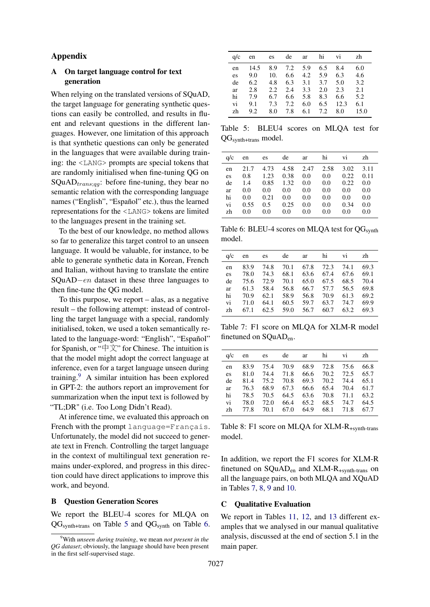## Appendix

## A On target language control for text generation

When relying on the translated versions of SQuAD, the target language for generating synthetic questions can easily be controlled, and results in fluent and relevant questions in the different languages. However, one limitation of this approach is that synthetic questions can only be generated in the languages that were available during training: the <LANG> prompts are special tokens that are randomly initialised when fine-tuning QG on SQuAD $_{trans;qg}$ : before fine-tuning, they bear no semantic relation with the corresponding language names ("English", "Español" etc.), thus the learned representations for the <LANG> tokens are limited to the languages present in the training set.

To the best of our knowledge, no method allows so far to generalize this target control to an unseen language. It would be valuable, for instance, to be able to generate synthetic data in Korean, French and Italian, without having to translate the entire SQuAD−en dataset in these three languages to then fine-tune the QG model.

To this purpose, we report – alas, as a negative result – the following attempt: instead of controlling the target language with a special, randomly initialised, token, we used a token semantically related to the language-word: "English", "Español" for Spanish, or " $\forall$  +  $\forall$ " for Chinese. The intuition is that the model might adopt the correct language at inference, even for a target language unseen during training.<sup>[9](#page-11-0)</sup> A similar intuition has been explored in GPT-2: the authors report an improvement for summarization when the input text is followed by "TL;DR" (i.e. Too Long Didn't Read).

At inference time, we evaluated this approach on French with the prompt language=Français. Unfortunately, the model did not succeed to generate text in French. Controlling the target language in the context of multilingual text generation remains under-explored, and progress in this direction could have direct applications to improve this work, and beyond.

## B Question Generation Scores

We report the BLEU-4 scores for MLQA on  $QG<sub>synth+trans</sub>$  on Table [5](#page-11-1) and  $QG<sub>synth</sub>$  on Table [6.](#page-11-2)

<span id="page-11-1"></span>

| q/c                              |                                         | en es de                        |                                                |                                 | ar hi                                  | vi                                      | zh                                     |
|----------------------------------|-----------------------------------------|---------------------------------|------------------------------------------------|---------------------------------|----------------------------------------|-----------------------------------------|----------------------------------------|
| en<br>es<br>de<br>ar<br>hi<br>vi | 14.5<br>9.0<br>6.2<br>2.8<br>7.9<br>9.1 | 10.<br>4.8<br>2.2<br>6.7<br>7.3 | 8.9 7.2 5.9<br>6.6<br>6.3<br>2.4<br>6.6<br>7.2 | 4.2<br>3.1<br>3.3<br>5.8<br>6.0 | 6.5<br>5.9<br>3.7<br>2.0<br>8.3<br>6.5 | 8.4<br>6.3<br>5.0<br>2.3<br>6.6<br>12.3 | 6.0<br>4.6<br>3.2<br>2.1<br>5.2<br>6.1 |
| zh                               | 9.2                                     | 8.0                             | 7.8                                            | 6.1                             | 7.2                                    | 8.0                                     | 15.0                                   |

Table 5: BLEU4 scores on MLQA test for QGsynth+trans model.

<span id="page-11-2"></span>

| q/c            | en                | es                  | de                 | ar                | hi                | V1                 | zh                |
|----------------|-------------------|---------------------|--------------------|-------------------|-------------------|--------------------|-------------------|
| en<br>es       | 21.7<br>0.8       | 4.73<br>1.23        | 4.58<br>0.38       | 2.47<br>0.0       | 2.58<br>0.0       | 3.02<br>0.22       | 3.11<br>0.11      |
| de<br>ar       | 1.4<br>0.0<br>0.0 | 0.85<br>0.0<br>0.21 | 1.32<br>0.0        | 0.0<br>0.0        | 0.0<br>0.0        | 0.22<br>0.0        | 0.0<br>0.0        |
| hi<br>vi<br>zh | 0.55<br>0.0       | 0.5<br>0.0          | 0.0<br>0.25<br>0.0 | 0.0<br>0.0<br>0.0 | 0.0<br>0.0<br>0.0 | 0.0<br>0.34<br>0.0 | 0.0<br>0.0<br>0.0 |

Table 6: BLEU-4 scores on MLQA test for QG<sub>synth</sub> model.

<span id="page-11-3"></span>

| q/c | en   | es   | de   | ar   | hi        | vi   | zh   |
|-----|------|------|------|------|-----------|------|------|
| en  | 83.9 | 74.8 | 70.1 |      | 67.8 72.3 | 74.1 | 69.3 |
| es  | 78.0 | 74.3 | 68.1 | 63.6 | 67.4      | 67.6 | 69.1 |
| de  | 75.6 | 72.9 | 70.1 | 65.0 | 67.5      | 68.5 | 70.4 |
| ar  | 61.3 | 58.4 | 56.8 | 66.7 | 57.7      | 56.5 | 69.8 |
| hi  | 70.9 | 62.1 | 58.9 | 56.8 | 70.9      | 61.3 | 69.2 |
| vi  | 71.0 | 64.1 | 60.5 | 59.7 | 63.7      | 74.7 | 69.9 |
| zh  | 67.1 | 62.5 | 59.0 | 56.7 | 60.7      | 63.2 | 69.3 |

Table 7: F1 score on MLQA for XLM-R model finetuned on SQuAD<sub>en</sub>.

<span id="page-11-4"></span>

| q/c                        |                                      | en es                                     | de                           | ar                   | hi                                               | vi                        | zh                                   |
|----------------------------|--------------------------------------|-------------------------------------------|------------------------------|----------------------|--------------------------------------------------|---------------------------|--------------------------------------|
| en<br>es<br>de<br>ar<br>hi | 83.9<br>81.0<br>81.4<br>76.3<br>78.5 | 75.4<br>74.4 71.8<br>75.2<br>68.9<br>70.5 | 70.9<br>70.8<br>67.3<br>64.5 | 69.3<br>66.6<br>63.6 | 68.9 72.8 75.6<br>66.6 70.2 72.5<br>70.2<br>70.8 | 74.4<br>65.4 70.4<br>71.1 | 66.8<br>65.7<br>65.1<br>61.7<br>63.2 |
| vi<br>zh                   | 78.0<br>77.8                         | 72.0<br>70.1                              | 66.4<br>67.0                 | 65.2<br>64.9         | 68.5<br>68.1                                     | 74.7<br>71.8              | 64.5<br>67.7                         |

Table 8: F1 score on MLQA for XLM-R+synth-trans model.

In addition, we report the F1 scores for XLM-R finetuned on SQuADen and XLM-R+synth-trans on all the language pairs, on both MLQA and XQuAD in Tables [7,](#page-11-3) [8,](#page-11-4) [9](#page-12-0) and [10.](#page-12-1)

### C Qualitative Evaluation

We report in Tables [11,](#page-12-2) [12,](#page-13-0) and [13](#page-13-1) different examples that we analysed in our manual qualitative analysis, discussed at the end of section 5.1 in the main paper.

<span id="page-11-0"></span><sup>9</sup>With *unseen during training*, we mean *not present in the QG dataset*; obviously, the language should have been present in the first self-supervised stage.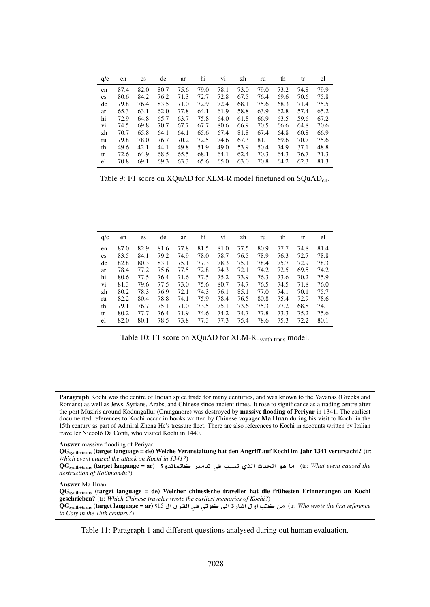<span id="page-12-0"></span>

| q/c | en   | es   | de   | ar   | hi   | V1   | zh   | ru   | th   | tr   | el   |
|-----|------|------|------|------|------|------|------|------|------|------|------|
| en  | 87.4 | 82.0 | 80.7 | 75.6 | 79.0 | 78.1 | 73.0 | 79.0 | 73.2 | 74.8 | 79.9 |
| es  | 80.6 | 84.2 | 76.2 | 71.3 | 72.7 | 72.8 | 67.5 | 76.4 | 69.6 | 70.6 | 75.8 |
| de  | 79.8 | 76.4 | 83.5 | 71.0 | 72.9 | 72.4 | 68.1 | 75.6 | 68.3 | 71.4 | 75.5 |
| ar  | 65.3 | 63.1 | 62.0 | 77.8 | 64.1 | 61.9 | 58.8 | 63.9 | 62.8 | 57.4 | 65.2 |
| hi  | 72.9 | 64.8 | 65.7 | 63.7 | 75.8 | 64.0 | 61.8 | 66.9 | 63.5 | 59.6 | 67.2 |
| vi  | 74.5 | 69.8 | 70.7 | 67.7 | 67.7 | 80.6 | 66.9 | 70.5 | 66.6 | 64.8 | 70.6 |
| zh  | 70.7 | 65.8 | 64.1 | 64.1 | 65.6 | 67.4 | 81.8 | 67.4 | 64.8 | 60.8 | 66.9 |
| ru  | 79.8 | 78.0 | 76.7 | 70.2 | 72.5 | 74.6 | 67.3 | 81.1 | 69.6 | 70.7 | 75.6 |
| th  | 49.6 | 42.1 | 44.1 | 49.8 | 51.9 | 49.0 | 53.9 | 50.4 | 74.9 | 37.1 | 48.8 |
| tr  | 72.6 | 64.9 | 68.5 | 65.5 | 68.1 | 64.1 | 62.4 | 70.3 | 64.3 | 76.7 | 71.3 |
| el  | 70.8 | 69.1 | 69.3 | 63.3 | 65.6 | 65.0 | 63.0 | 70.8 | 64.2 | 62.3 | 81.3 |

Table 9: F1 score on XQuAD for XLM-R model finetuned on SQuADen.

<span id="page-12-1"></span>

| q/c | en   | es   | de   | ar   | hi   | V <sub>1</sub> | zh   | ru   | th   | tr   | el   |
|-----|------|------|------|------|------|----------------|------|------|------|------|------|
| en  | 87.0 | 82.9 | 81.6 | 77.8 | 81.5 | 81.0           | 77.5 | 80.9 | 77.7 | 74.8 | 81.4 |
| es  | 83.5 | 84.1 | 79.2 | 74.9 | 78.0 | 78.7           | 76.5 | 78.9 | 76.3 | 72.7 | 78.8 |
| de  | 82.8 | 80.3 | 83.1 | 75.1 | 77.3 | 78.3           | 75.1 | 78.4 | 75.7 | 72.9 | 78.3 |
| ar  | 78.4 | 77.2 | 75.6 | 77.5 | 72.8 | 74.3           | 72.1 | 74.2 | 72.5 | 69.5 | 74.2 |
| hi  | 80.6 | 77.5 | 76.4 | 71.6 | 77.5 | 75.2           | 73.9 | 76.3 | 73.6 | 70.2 | 75.9 |
| vi  | 81.3 | 79.6 | 77.5 | 73.0 | 75.6 | 80.7           | 74.7 | 76.5 | 74.5 | 71.8 | 76.0 |
| zh  | 80.2 | 78.3 | 76.9 | 72.1 | 74.3 | 76.1           | 85.1 | 77.0 | 74.1 | 70.1 | 75.7 |
| ru  | 82.2 | 80.4 | 78.8 | 74.1 | 75.9 | 78.4           | 76.5 | 80.8 | 75.4 | 72.9 | 78.6 |
| th  | 79.1 | 76.7 | 75.1 | 71.0 | 73.5 | 75.1           | 73.6 | 75.3 | 77.2 | 68.8 | 74.1 |
| tr  | 80.2 | 77.7 | 76.4 | 71.9 | 74.6 | 74.2           | 74.7 | 77.8 | 73.3 | 75.2 | 75.6 |
| el  | 82.0 | 80.1 | 78.5 | 73.8 | 77.3 | 77.3           | 75.4 | 78.6 | 75.3 | 72.2 | 80.1 |

Table 10: F1 score on XQuAD for XLM-R+synth-trans model.

<span id="page-12-2"></span>Paragraph Kochi was the centre of Indian spice trade for many centuries, and was known to the Yavanas (Greeks and Romans) as well as Jews, Syrians, Arabs, and Chinese since ancient times. It rose to significance as a trading centre after the port Muziris around Kodungallur (Cranganore) was destroyed by massive flooding of Periyar in 1341. The earliest documented references to Kochi occur in books written by Chinese voyager Ma Huan during his visit to Kochi in the 15th century as part of Admiral Zheng He's treasure fleet. There are also references to Kochi in accounts written by Italian traveller Niccolò Da Conti, who visited Kochi in 1440.

Answer massive flooding of Periyar

QGsynth+trans (target language = de) Welche Veranstaltung hat den Angriff auf Kochi im Jahr 1341 verursacht? (tr: *Which event caused the attack on Kochi in 1341?*)

QGsynth+trans (target language = ar) **?¤dAmA ryd ¨ bs ©@ d w¡ A** (tr: *What event caused the destruction of Kathmandu?*)

Answer Ma Huan

QGsynth+trans (target language = de) Welcher chinesische traveller hat die frühesten Erinnerungen an Kochi geschrieben? (tr: *Which Chinese traveler wrote the earliest memories of Kochi?*)

QGsynth+trans (target language = ar) **?**15  **rq ¨ ¨w Y CAJ ¤ t**  (tr: *Who wrote the first reference to Coty in the 15th century?*)

Table 11: Paragraph 1 and different questions analysed during out human evaluation.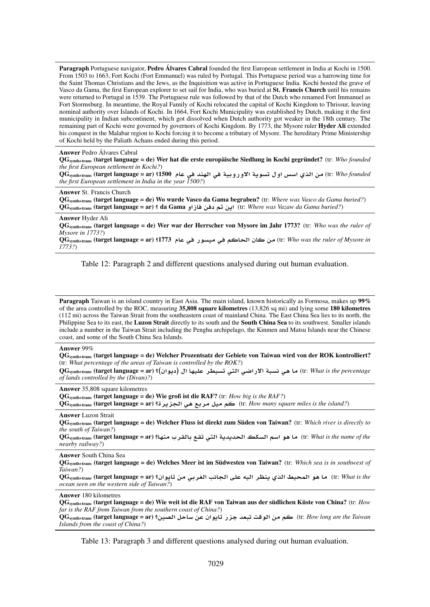<span id="page-13-0"></span>Paragraph Portuguese navigator, Pedro Álvares Cabral founded the first European settlement in India at Kochi in 1500. From 1503 to 1663, Fort Kochi (Fort Emmanuel) was ruled by Portugal. This Portuguese period was a harrowing time for the Saint Thomas Christians and the Jews, as the Inquisition was active in Portuguese India. Kochi hosted the grave of Vasco da Gama, the first European explorer to set sail for India, who was buried at St. Francis Church until his remains were returned to Portugal in 1539. The Portuguese rule was followed by that of the Dutch who renamed Fort Immanuel as Fort Stormsburg. In meantime, the Royal Family of Kochi relocated the capital of Kochi Kingdom to Thrissur, leaving nominal authority over Islands of Kochi. In 1664, Fort Kochi Municipality was established by Dutch, making it the first municipality in Indian subcontinent, which got dissolved when Dutch authority got weaker in the 18th century. The remaining part of Kochi were governed by governors of Kochi Kingdom. By 1773, the Mysore ruler Hyder Ali extended his conquest in the Malabar region to Kochi forcing it to become a tributary of Mysore. The hereditary Prime Ministership of Kochi held by the Paliath Achans ended during this period.

#### Answer Pedro Álvares Cabral

QGsynth+trans (target language = de) Wer hat die erste europäische Siedlung in Kochi gegründet? (tr: *Who founded the first European settlement in Kochi?*)

QGsynth+trans (target language = ar) **?**1500 **A ¨ dnh ¨ Ty¤C¤¯ T§ws ¤ HF ©@**  (tr: *Who founded the first European settlement in India in the year 1500?*)

#### Answer St. Francis Church

QGsynth+trans (target language = de) Wo wurde Vasco da Gama begraben? (tr: *Where was Vasco da Gama buried?*) QGsynth+trans (target language = ar) **?** da Gama **¤EA §** (tr: *Where was Vazaw da Gama buried?*)

#### Answer Hyder Ali

QGsynth+trans (target language = de) Wer war der Herrscher von Mysore im Jahr 1773? (tr: *Who was the ruler of Mysore in 1773?*)

QGsynth+trans (target language = ar) **?**1773 **A ¨ Cwsy ¨ A A**  (tr: *Who was the ruler of Mysore in 1773?*)

Table 12: Paragraph 2 and different questions analysed during out human evaluation.

<span id="page-13-1"></span>Paragraph Taiwan is an island country in East Asia. The main island, known historically as Formosa, makes up 99% of the area controlled by the ROC, measuring 35,808 square kilometres (13,826 sq mi) and lying some 180 kilometres (112 mi) across the Taiwan Strait from the southeastern coast of mainland China. The East China Sea lies to its north, the Philippine Sea to its east, the Luzon Strait directly to its south and the South China Sea to its southwest. Smaller islands include a number in the Taiwan Strait including the Penghu archipelago, the Kinmen and Matsu Islands near the Chinese coast, and some of the South China Sea Islands.

#### Answer 99%

QGsynth+trans (target language = de) Welcher Prozentsatz der Gebiete von Taiwan wird von der ROK kontrolliert? (tr: *What percentage of the areas of Taiwan is controlled by the ROK?*)

QGsynth+trans (target language = ar) **?( w§ ) Ahyl rWys ¨t ¨RC¯ Tbs ¨¡ A** (tr: *What is the percentage of lands controlled by the (Divan)?*)

Answer 35,808 square kilometres

QGsynth+trans (target language = de) Wie groß ist die RAF? (tr: *How big is the RAF?*)

QGsynth+trans (target language = ar) **?r§z ¨¡ r y**  (tr: *How many square miles is the island?*)

### Answer Luzon Strait

QGsynth+trans (target language = de) Welcher Fluss ist direkt zum Süden von Taiwan? (tr: *Which river is directly to the south of Taiwan?*)

QGsynth+trans (target language = ar) **?Ahn rqA q ¨t T§d§d ks F w¡ A** (tr: *What is the name of the nearby railway?*)

#### Answer South China Sea

QGsynth+trans (target language = de) Welches Meer ist im Südwesten von Taiwan? (tr: *Which sea is in southwest of Taiwan?*)

QGsynth+trans (target language = ar) **? w§A ¨r A Yl ¢y r\n§ ©@ Xym w¡ A** (tr: *What is the ocean seen on the western side of Taiwan?*)

#### Answer 180 kilometres

QGsynth+trans (target language = de) Wie weit ist die RAF von Taiwan aus der südlichen Küste von China? (tr: *How far is the RAF from Taiwan from the southern coast of China?*)

QGsynth+trans (target language = ar) **?yO AF w§A Cz d`b 
w**  (tr: *How long are the Taiwan Islands from the coast of China?*)

Table 13: Paragraph 3 and different questions analysed during out human evaluation.